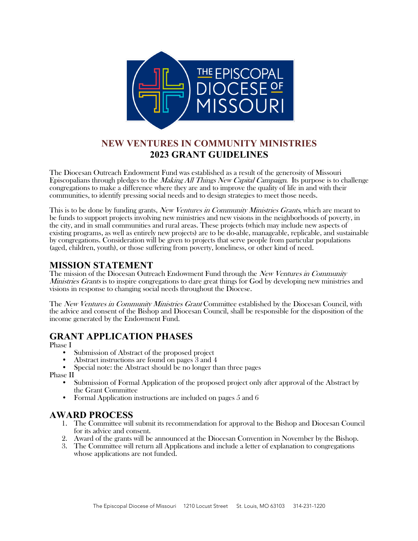

# **NEW VENTURES IN COMMUNITY MINISTRIES 2023 GRANT GUIDELINES**

The Diocesan Outreach Endowment Fund was established as a result of the generosity of Missouri Episcopalians through pledges to the Making All Things New Capital Campaign. Its purpose is to challenge congregations to make a difference where they are and to improve the quality of life in and with their communities, to identify pressing social needs and to design strategies to meet those needs.

This is to be done by funding grants, New Ventures in Community Ministries Grants, which are meant to be funds to support projects involving new ministries and new visions in the neighborhoods of poverty, in the city, and in small communities and rural areas. These projects (which may include new aspects of existing programs, as well as entirely new projects) are to be do-able, manageable, replicable, and sustainable by congregations. Consideration will be given to projects that serve people from particular populations (aged, children, youth), or those suffering from poverty, loneliness, or other kind of need.

# **MISSION STATEMENT**

The mission of the Diocesan Outreach Endowment Fund through the New Ventures in Community *Ministries Grants* is to inspire congregations to dare great things for God by developing new ministries and visions in response to changing social needs throughout the Diocese.

The New Ventures in Community Ministries Grant Committee established by the Diocesan Council, with the advice and consent of the Bishop and Diocesan Council, shall be responsible for the disposition of the income generated by the Endowment Fund.

# **GRANT APPLICATION PHASES**

Phase I

- Submission of Abstract of the proposed project Abstract instructions are found on pages 3 and 4
- 
- Special note: the Abstract should be no longer than three pages

Phase II

- Submission of Formal Application of the proposed project only after approval of the Abstract by the Grant Committee
- Formal Application instructions are included on pages 5 and 6

# **AWARD PROCESS**

- 1. The Committee will submit its recommendation for approval to the Bishop and Diocesan Council for its advice and consent.
- 2. Award of the grants will be announced at the Diocesan Convention in November by the Bishop.
- 3. The Committee will return all Applications and include a letter of explanation to congregations whose applications are not funded.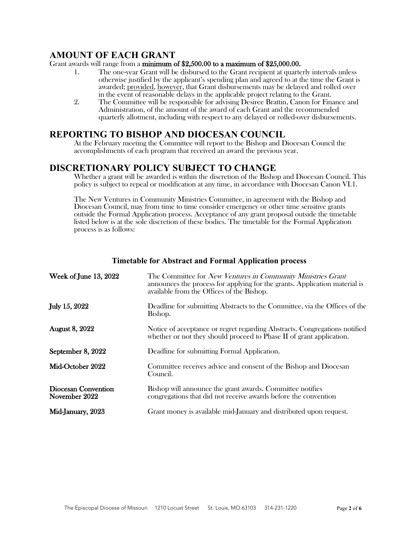### **AMOUNT OF EACH GRANT**

### Grant awards will range from a minimum of \$2,500.00 to a maximum of \$25,000.00.

- 1. The one-year Grant will be disbursed to the Grant recipient at quarterly intervals unless otherwise justified by the applicant's spending plan and agreed to at the time the Grant is awarded; provided, however, that Grant disbursements may be delayed and rolled over in the event of reasonable delays in the applicable project relating to the Grant.
- 2. The Committee will be responsible for advising Desiree Brattin, Canon for Finance and Administration, of the amount of the award of each Grant and the recommended quarterly allotment, including with respect to any delayed or rolled-over disbursements.

### **REPORTING TO BISHOP AND DIOCESAN COUNCIL**

At the February meeting the Committee will report to the Bishop and Diocesan Council the accomplishments of each program that received an award the previous year.

# **DISCRETIONARY POLICY SUBJECT TO CHANGE**

Whether a grant will be awarded is within the discretion of the Bishop and Diocesan Council. This policy is subject to repeal or modification at any time, in accordance with Diocesan Canon VI.1.

The New Ventures in Community Ministries Committee, in agreement with the Bishop and Diocesan Council, may from time to time consider emergency or other time sensitive grants outside the Formal Application process. Acceptance of any grant proposal outside the timetable listed below is at the sole discretion of these bodies. The timetable for the Formal Application process is as follows:

| Week of June 13, 2022                | The Committee for <i>New Ventures in Community Ministries Grant</i><br>announces the process for applying for the grants. Application material is<br>available from the Offices of the Bishop. |
|--------------------------------------|------------------------------------------------------------------------------------------------------------------------------------------------------------------------------------------------|
| July 15, 2022                        | Deadline for submitting Abstracts to the Committee, via the Offices of the<br>Bishop.                                                                                                          |
| <b>August 8, 2022</b>                | Notice of acceptance or regret regarding Abstracts. Congregations notified<br>whether or not they should proceed to Phase II of grant application.                                             |
| September 8, 2022                    | Deadline for submitting Formal Application.                                                                                                                                                    |
| Mid-October 2022                     | Committee receives advice and consent of the Bishop and Diocesan<br>Council.                                                                                                                   |
| Diocesan Convention<br>November 2022 | Bishop will announce the grant awards. Committee notifies<br>congregations that did not receive awards before the convention                                                                   |
| Mid-January, 2023                    | Grant money is available mid-January and distributed upon request.                                                                                                                             |

### **Timetable for Abstract and Formal Application process**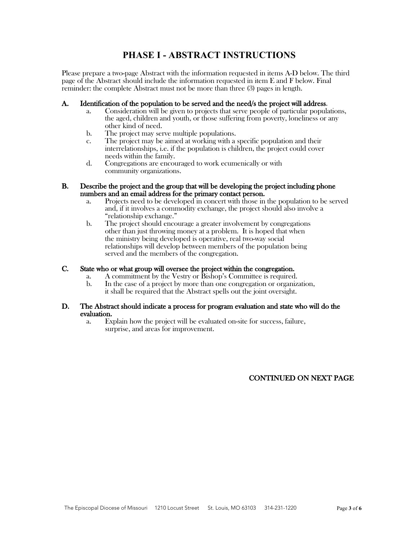# **PHASE I - ABSTRACT INSTRUCTIONS**

Please prepare a two-page Abstract with the information requested in items A-D below. The third page of the Abstract should include the information requested in item E and F below. Final reminder: the complete Abstract must not be more than three (3) pages in length.

- A. Identification of the population to be served and the need/s the project will address.<br>a. Consideration will be given to projects that serve people of particular populations, the aged, children and youth, or those suffering from poverty, loneliness or any other kind of need.
	- b. The project may serve multiple populations.
	- c. The project may be aimed at working with a specific population and their interrelationships, i.e. if the population is children, the project could cover needs within the family.
	- d. Congregations are encouraged to work ecumenically or with community organizations.

#### B. Describe the project and the group that will be developing the project including phone numbers and an email address for the primary contact person.

- a. Projects need to be developed in concert with those in the population to be served and, if it involves a commodity exchange, the project should also involve a "relationship exchange."
- b. The project should encourage a greater involvement by congregations other than just throwing money at a problem. It is hoped that when the ministry being developed is operative, real two-way social relationships will develop between members of the population being served and the members of the congregation.

### C. State who or what group will oversee the project within the congregation.

- a. A commitment by the Vestry or Bishop's Committee is required.
- b. In the case of a project by more than one congregation or organization, it shall be required that the Abstract spells out the joint oversight.

#### D. The Abstract should indicate a process for program evaluation and state who will do the evaluation.

a. Explain how the project will be evaluated on-site for success, failure, surprise, and areas for improvement.

### CONTINUED ON NEXT PAGE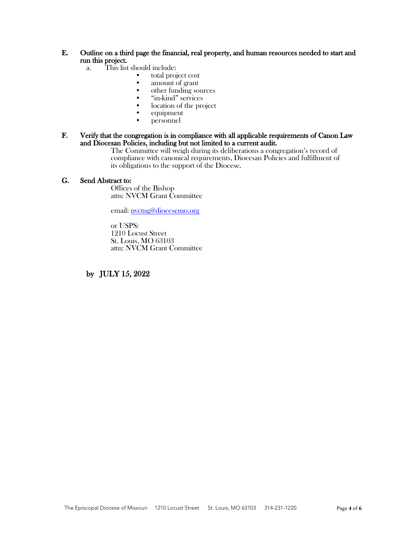# E. Outline on a third page the financial, real property, and human resources needed to start and run this project.<br>a. This list

- - -
- This list should include:<br>• total project cost<br>• amount of grant<br>• other funding sources<br>• "in-kind" services
	-
	- location of the project<br>
	equipment<br>  $\bullet$  services between the project
	-
	- personnel

### F. Verify that the congregation is in compliance with all applicable requirements of Canon Law and Diocesan Policies, including but not limited to a current audit.

The Committee will weigh during its deliberations a congregation's record of compliance with canonical requirements, Diocesan Policies and fulfillment of its obligations to the support of the Diocese.

### G. Send Abstract to:

Offices of the Bishop attn: NVCM Grant Committee

email: nvcmg@diocesemo.org

or USPS: 1210 Locust Street St. Louis, MO 63103 attn: NVCM Grant Committee

by JULY 15, 2022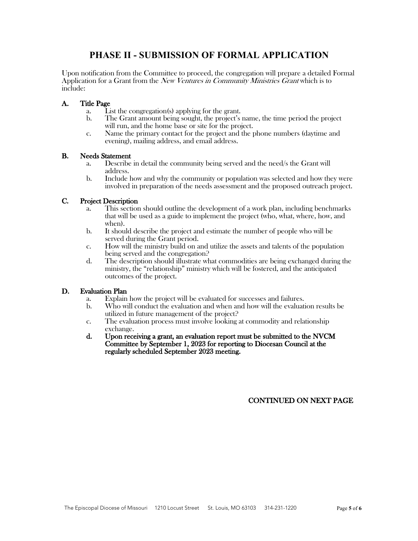# **PHASE II - SUBMISSION OF FORMAL APPLICATION**

Upon notification from the Committee to proceed, the congregation will prepare a detailed Formal Application for a Grant from the *New Ventures in Community Ministries Grant* which is to include:

### A. Title Page

- a. List the congregation(s) applying for the grant.
- b. The Grant amount being sought, the project's name, the time period the project will run, and the home base or site for the project.
- c. Name the primary contact for the project and the phone numbers (daytime and evening), mailing address, and email address.

#### B. Needs Statement

- a. Describe in detail the community being served and the need/s the Grant will address.
- b. Include how and why the community or population was selected and how they were involved in preparation of the needs assessment and the proposed outreach project.

### C. Project Description

- a. This section should outline the development of a work plan, including benchmarks that will be used as a guide to implement the project (who, what, where, how, and when).
- b. It should describe the project and estimate the number of people who will be served during the Grant period.
- c. How will the ministry build on and utilize the assets and talents of the population being served and the congregation?
- d. The description should illustrate what commodities are being exchanged during the ministry, the "relationship" ministry which will be fostered, and the anticipated outcomes of the project.

#### D. Evaluation Plan

- a. Explain how the project will be evaluated for successes and failures.
- b. Who will conduct the evaluation and when and how will the evaluation results be utilized in future management of the project?
- c. The evaluation process must involve looking at commodity and relationship exchange.
- d. Upon receiving a grant, an evaluation report must be submitted to the NVCM Committee by September 1, 2023 for reporting to Diocesan Council at the regularly scheduled September 2023 meeting.

### CONTINUED ON NEXT PAGE